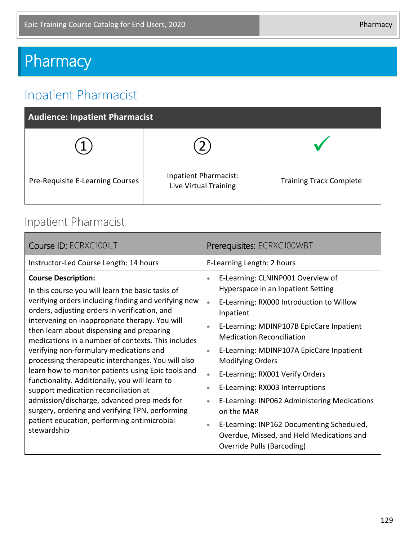# **Pharmacy**

## Inpatient Pharmacist

| <b>Audience: Inpatient Pharmacist</b> |                                                |                                |  |  |
|---------------------------------------|------------------------------------------------|--------------------------------|--|--|
|                                       |                                                |                                |  |  |
| Pre-Requisite E-Learning Courses      | Inpatient Pharmacist:<br>Live Virtual Training | <b>Training Track Complete</b> |  |  |

#### Inpatient Pharmacist

| Course ID: ECRXC100ILT                                                                                                                                                                                                                                                                                                                                                                                                                                                                                                                                                                                                                                                                                                                                        | Prerequisites: ECRXC100WBT                                                                                                                                                                                                                                                                                                                                                                                                                                                                                                                                                                                                                                  |
|---------------------------------------------------------------------------------------------------------------------------------------------------------------------------------------------------------------------------------------------------------------------------------------------------------------------------------------------------------------------------------------------------------------------------------------------------------------------------------------------------------------------------------------------------------------------------------------------------------------------------------------------------------------------------------------------------------------------------------------------------------------|-------------------------------------------------------------------------------------------------------------------------------------------------------------------------------------------------------------------------------------------------------------------------------------------------------------------------------------------------------------------------------------------------------------------------------------------------------------------------------------------------------------------------------------------------------------------------------------------------------------------------------------------------------------|
| Instructor-Led Course Length: 14 hours                                                                                                                                                                                                                                                                                                                                                                                                                                                                                                                                                                                                                                                                                                                        | E-Learning Length: 2 hours                                                                                                                                                                                                                                                                                                                                                                                                                                                                                                                                                                                                                                  |
| <b>Course Description:</b><br>In this course you will learn the basic tasks of<br>verifying orders including finding and verifying new<br>orders, adjusting orders in verification, and<br>intervening on inappropriate therapy. You will<br>then learn about dispensing and preparing<br>medications in a number of contexts. This includes<br>verifying non-formulary medications and<br>processing therapeutic interchanges. You will also<br>learn how to monitor patients using Epic tools and<br>functionality. Additionally, you will learn to<br>support medication reconciliation at<br>admission/discharge, advanced prep meds for<br>surgery, ordering and verifying TPN, performing<br>patient education, performing antimicrobial<br>stewardship | E-Learning: CLNINP001 Overview of<br>$\bullet$<br>Hyperspace in an Inpatient Setting<br>E-Learning: RX000 Introduction to Willow<br>$\bullet$<br>Inpatient<br>E-Learning: MDINP107B EpicCare Inpatient<br>$\bullet$<br><b>Medication Reconciliation</b><br>E-Learning: MDINP107A EpicCare Inpatient<br>$\bullet$<br><b>Modifying Orders</b><br>E-Learning: RX001 Verify Orders<br>$\bullet$<br>E-Learning: RX003 Interruptions<br>$\bullet$<br>E-Learning: INP062 Administering Medications<br>$\bullet$<br>on the MAR<br>E-Learning: INP162 Documenting Scheduled,<br>$\bullet$<br>Overdue, Missed, and Held Medications and<br>Override Pulls (Barcoding) |